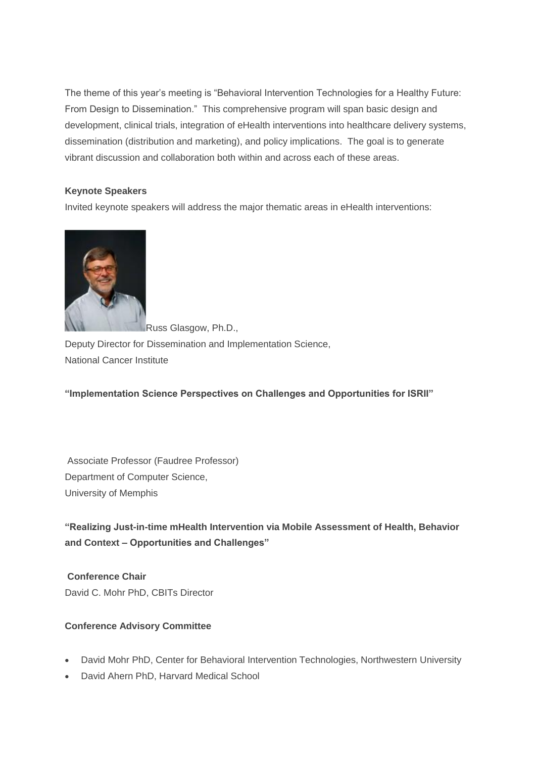The theme of this year's meeting is "Behavioral Intervention Technologies for a Healthy Future: From Design to Dissemination." This comprehensive program will span basic design and development, clinical trials, integration of eHealth interventions into healthcare delivery systems, dissemination (distribution and marketing), and policy implications. The goal is to generate vibrant discussion and collaboration both within and across each of these areas.

# **Keynote Speakers**

Invited keynote speakers will address the major thematic areas in eHealth interventions:



Russ Glasgow, Ph.D.,

Deputy Director for Dissemination and Implementation Science, National Cancer Institute

**"Implementation Science Perspectives on Challenges and Opportunities for ISRII"**

Associate Professor (Faudree Professor) Department of Computer Science, University of Memphis

**"Realizing Just-in-time mHealth Intervention via Mobile Assessment of Health, Behavior and Context – Opportunities and Challenges"**

**Conference Chair** David C. Mohr PhD, CBITs Director

# **Conference Advisory Committee**

- David Mohr PhD, Center for Behavioral Intervention Technologies, Northwestern University
- David Ahern PhD, Harvard Medical School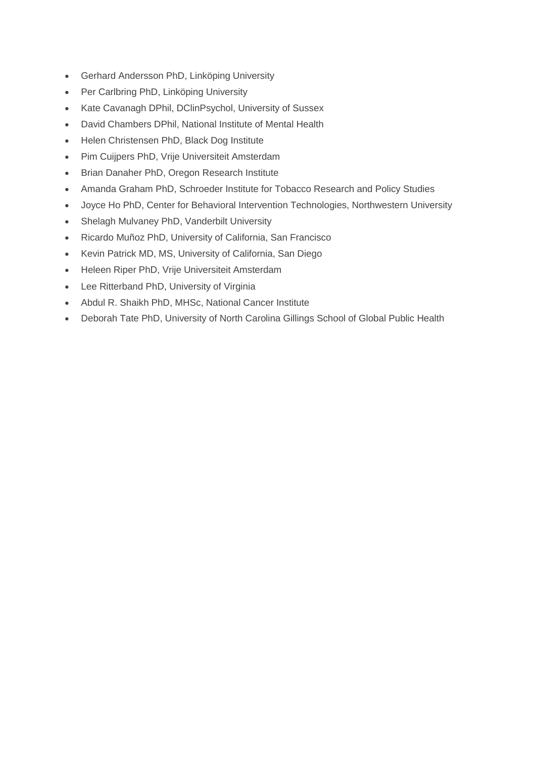- Gerhard Andersson PhD, Linköping University
- Per Carlbring PhD, Linköping University
- Kate Cavanagh DPhil, DClinPsychol, University of Sussex
- David Chambers DPhil, National Institute of Mental Health
- Helen Christensen PhD, Black Dog Institute
- Pim Cuijpers PhD, Vrije Universiteit Amsterdam
- **•** Brian Danaher PhD, Oregon Research Institute
- Amanda Graham PhD, Schroeder Institute for Tobacco Research and Policy Studies
- Joyce Ho PhD, Center for Behavioral Intervention Technologies, Northwestern University
- Shelagh Mulvaney PhD, Vanderbilt University
- Ricardo Muñoz PhD, University of California, San Francisco
- Kevin Patrick MD, MS, University of California, San Diego
- Heleen Riper PhD, Vrije Universiteit Amsterdam
- Lee Ritterband PhD, University of Virginia
- Abdul R. Shaikh PhD, MHSc, National Cancer Institute
- Deborah Tate PhD, University of North Carolina Gillings School of Global Public Health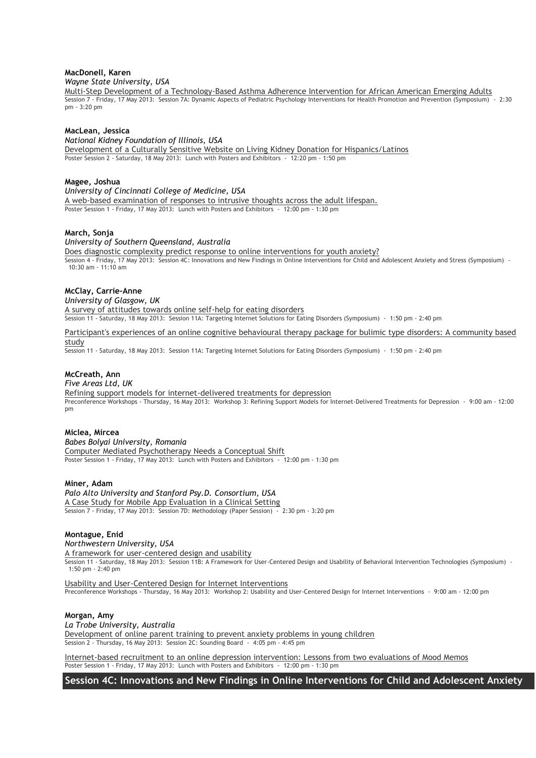### **MacDonell, Karen** *Wayne State University, USA*

[Multi-Step Development of a Technology-Based Asthma Adherence Intervention for African American Emerging Adults](http://isrii.conference-services.net/reports/template/onetextabstract.xml?xsl=template/onetextabstract.xsl&conferenceID=3474&abstractID=724068) Session 7 - Friday, 17 May 2013: [Session 7A: Dynamic Aspects of Pediatric Psychology Interventions for Health Promotion and Prevention \(Symposium\) -](http://isrii.conference-services.net/programme.asp?conferenceID=3474&action=prog_list&session=26400) 2:30 pm - [3:20 pm](http://isrii.conference-services.net/programme.asp?conferenceID=3474&action=prog_list&session=26400)

### **MacLean, Jessica**

*National Kidney Foundation of Illinois, USA* [Development of a Culturally Sensitive Website on Living Kidney Donation for Hispanics/Latinos](http://isrii.conference-services.net/reports/template/onetextabstract.xml?xsl=template/onetextabstract.xsl&conferenceID=3474&abstractID=716433) Poster Session 2 - Saturday, 18 May 2013: [Lunch with Posters and Exhibitors -](http://isrii.conference-services.net/programme.asp?conferenceID=3474&action=prog_list&session=26401) 12:20 pm - 1:50 pm

#### **Magee, Joshua**

*University of Cincinnati College of Medicine, USA*

[A web-based examination of responses to intrusive thoughts across the adult lifespan.](http://isrii.conference-services.net/reports/template/onetextabstract.xml?xsl=template/onetextabstract.xsl&conferenceID=3474&abstractID=718455) Poster Session 1 - Friday, 17 May 2013: [Lunch with Posters and Exhibitors -](http://isrii.conference-services.net/programme.asp?conferenceID=3474&action=prog_list&session=26376) 12:00 pm - 1:30 pm

#### **March, Sonja**

#### *University of Southern Queensland, Australia*

[Does diagnostic complexity predict response to online interventions for youth anxiety?](http://isrii.conference-services.net/reports/template/onetextabstract.xml?xsl=template/onetextabstract.xsl&conferenceID=3474&abstractID=718700) Session 4 - Friday, 17 May 2013: [Session 4C: Innovations and New Findings in Online Interventions for Child and Adolescent Anxiety and Stress \(Symposium\) -](http://isrii.conference-services.net/programme.asp?conferenceID=3474&action=prog_list&session=26410) [10:30 am -](http://isrii.conference-services.net/programme.asp?conferenceID=3474&action=prog_list&session=26410) 11:10 am

### **McClay, Carrie-Anne**

*University of Glasgow, UK*

[A survey of attitudes towards online self-help for eating disorders](http://isrii.conference-services.net/reports/template/onetextabstract.xml?xsl=template/onetextabstract.xsl&conferenceID=3474&abstractID=724042) Session 11 - Saturday, 18 May 2013: [Session 11A: Targeting Internet Solutions for Eating Disorders \(Symposium\) -](http://isrii.conference-services.net/programme.asp?conferenceID=3474&action=prog_list&session=26403) 1:50 pm - 2:40 pm

[Participant's experiences of an online cognitive behavioural therapy package for bulimic type disorders: A community based](http://isrii.conference-services.net/reports/template/onetextabstract.xml?xsl=template/onetextabstract.xsl&conferenceID=3474&abstractID=724049)  [study](http://isrii.conference-services.net/reports/template/onetextabstract.xml?xsl=template/onetextabstract.xsl&conferenceID=3474&abstractID=724049)

Session 11 - Saturday, 18 May 2013: [Session 11A: Targeting Internet Solutions for Eating Disorders \(Symposium\) -](http://isrii.conference-services.net/programme.asp?conferenceID=3474&action=prog_list&session=26403) 1:50 pm - 2:40 pm

## **McCreath, Ann**

#### *Five Areas Ltd, UK*

[Refining support models for internet-delivered treatments for depression](http://isrii.conference-services.net/reports/template/onetextabstract.xml?xsl=template/onetextabstract.xsl&conferenceID=3474&abstractID=724057) Preconference Workshops - Thursday, 16 May 2013: [Workshop 3: Refining Support Models for Internet-Delivered Treatments for Depression -](http://isrii.conference-services.net/programme.asp?conferenceID=3474&action=prog_list&session=25919) 9:00 am - 12:00 [pm](http://isrii.conference-services.net/programme.asp?conferenceID=3474&action=prog_list&session=25919)

#### **Miclea, Mircea**

*Babes Bolyai University, Romania* [Computer Mediated Psychotherapy Needs a Conceptual Shift](http://isrii.conference-services.net/reports/template/onetextabstract.xml?xsl=template/onetextabstract.xsl&conferenceID=3474&abstractID=715737) Poster Session 1 - Friday, 17 May 2013: [Lunch with Posters and Exhibitors -](http://isrii.conference-services.net/programme.asp?conferenceID=3474&action=prog_list&session=26376) 12:00 pm - 1:30 pm

#### **Miner, Adam**

*Palo Alto University and Stanford Psy.D. Consortium, USA* [A Case Study for Mobile App Evaluation in a Clinical Setting](http://isrii.conference-services.net/reports/template/onetextabstract.xml?xsl=template/onetextabstract.xsl&conferenceID=3474&abstractID=713506) Session 7 - Friday, 17 May 2013: [Session 7D: Methodology \(Paper Session\) -](http://isrii.conference-services.net/programme.asp?conferenceID=3474&action=prog_list&session=26385) 2:30 pm - 3:20 pm

### **Montague, Enid**

*Northwestern University, USA*

[A framework for user-centered design and usability](http://isrii.conference-services.net/reports/template/onetextabstract.xml?xsl=template/onetextabstract.xsl&conferenceID=3474&abstractID=722090)

Session 11 - Saturday, 18 May 2013: Session 11B: A Framework for User-Centered Design [and Usability of Behavioral Intervention Technologies \(Symposium\) -](http://isrii.conference-services.net/programme.asp?conferenceID=3474&action=prog_list&session=26404) [1:50 pm -](http://isrii.conference-services.net/programme.asp?conferenceID=3474&action=prog_list&session=26404) 2:40 pm

[Usability and User-Centered Design for Internet Interventions](http://isrii.conference-services.net/reports/template/onetextabstract.xml?xsl=template/onetextabstract.xsl&conferenceID=3474&abstractID=722091) Preconference Workshops - Thursday, 16 May 2013: Workshop [2: Usability and User-Centered Design for Internet Interventions -](http://isrii.conference-services.net/programme.asp?conferenceID=3474&action=prog_list&session=25141) 9:00 am - 12:00 pm

### **Morgan, Amy**

#### *La Trobe University, Australia*

[Development of online parent training to prevent anxiety problems in young children](http://isrii.conference-services.net/reports/template/onetextabstract.xml?xsl=template/onetextabstract.xsl&conferenceID=3474&abstractID=718282) Session 2 - Thursday, 16 May 2013: [Session 2C: Sounding Board -](http://isrii.conference-services.net/programme.asp?conferenceID=3474&action=prog_list&session=25929) 4:05 pm - 4:45 pm

[Internet-based recruitment to an online depression intervention: Lessons from](http://isrii.conference-services.net/reports/template/onetextabstract.xml?xsl=template/onetextabstract.xsl&conferenceID=3474&abstractID=718274) two evaluations of Mood Memos Poster Session 1 - Friday, 17 May 2013: [Lunch with Posters and Exhibitors -](http://isrii.conference-services.net/programme.asp?conferenceID=3474&action=prog_list&session=26376) 12:00 pm - 1:30 pm

## **Session 4C: Innovations and New Findings in Online Interventions for Child and Adolescent Anxiety**